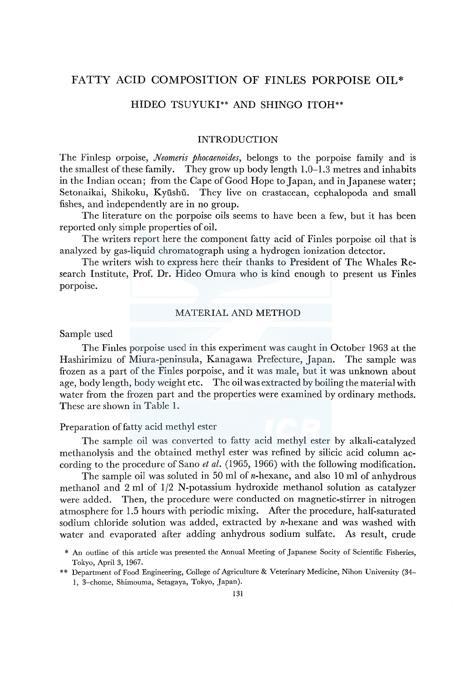# FATTY ACID COMPOSITION OF FINLES PORPOISE OIL\*

# HIDEO TSUYUKI\*\* AND SHINGO ITOH\*\*

# INTRODUCTION

The Finlesp orpoise, *Neomeris phocaenoides,* belongs to the porpoise family and is the smallest of these family. They grow up body length 1.0-1.3 metres and inhabits in the Indian ocean; from the Cape of Good Hope to Japan, and in Japanese water; Setonaikai, Shikoku, Kyūshū. They live on crastacean, cephalopoda and small fishes, and independently are in no group.

The literature on the porpoise oils seems to have been a few, but it has been reported only simple properties of oil.

The writers report here the component fatty acid of Finles porpoise oil that is analyzed by gas-liquid chromatograph using a hydrogen ionization detector.

The writers wish to express here their thanks to President of The Whales Research Institute, Prof. Dr. Hideo Omura who is kind enough to present us Finles porpoise.

# MATERIAL AND METHOD

Sample used

The Finles porpoise used in this experiment was caught in October 1963 at the Hashirimizu of Miura-peninsula, Kanagawa Prefecture, Japan. The sample was frozen as a part of the Finles porpoise, and it was male, but it was unknown about age, body length, body weight etc. The oil was extracted by boiling the material with water from the frozen part and the properties were examined by ordinary methods. These are shown in Table 1.

### Preparation of fatty acid methyl ester

The sample oil was converted to fatty acid methyl ester by alkali-catalyzed methanolysis and the obtained methyl ester was refined by silicic acid column according to the procedure of Sano *et al.* (1965, 1966) with the following modification.

The sample oil was soluted in 50 ml of *n*-hexane, and also 10 ml of anhydrous methanol and 2 ml of 1/2 N-potassium hydroxide methanol solution as catalyzer were added. Then, the procedure were conducted on magnetic-stirrer in nitrogen atmosphere for 1.5 hours with periodic mixing. After the procedure, half-saturated sodium chloride solution was added, extracted by n-hexane and was washed with water and evaporated after adding anhydrous sodium sulfate. As result, crude

<sup>\*</sup> An outline of this article was presented the Annual Meeting of Japanese Socity of Scientific Fisheries, Tokyo, April 3, 1967.

<sup>\*\*</sup> Department of Food Engineering, College of Agriculture & Veterinary Medicine, Nihon University (34- 1, 3-chome, Shimouma, Setagaya, Tokyo, Japan).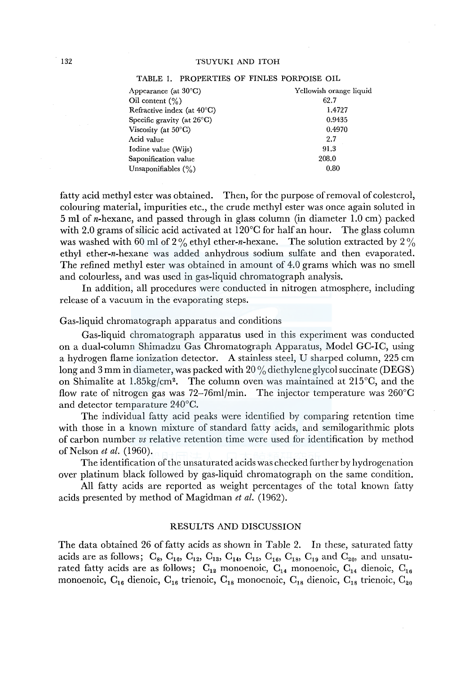| Appearance (at $30^{\circ}$ C)       | Yellowish orange liquid |
|--------------------------------------|-------------------------|
| Oil content $(\% )$                  | 62.7                    |
| Refractive index (at $40^{\circ}$ C) | 1.4727                  |
| Specific gravity (at $26^{\circ}$ C) | 0.9435                  |
| Viscosity (at $50^{\circ}$ C)        | 0.4970                  |
| Acid value                           | 2.7                     |
| Iodine value (Wijs)                  | 91.3                    |
| Saponification value                 | 208.0                   |
| Unsaponifiables (%)                  | 0.80                    |
|                                      |                         |

#### TABLE 1. PROPERTIES OF FINLES PORPOISE OIL

fatty acid methyl ester was obtained. Then, for the purpose of removal of colesterol, colouring material, impurities etc., the crude methyl ester was once again soluted in 5 ml of n-hexane, and passed through in glass column (in diameter 1.0 cm) packed with 2.0 grams of silicic acid activated at  $120^{\circ}$ C for half an hour. The glass column was washed with 60 ml of 2% ethyl ether-n-hexane. The solution extracted by 2% ethyl ether-n-hexane was added anhydrous sodium sulfate and then evaporated. The refined methyl ester was obtained in amount of 4.0 grams which was no smell and colourless, and was used in gas-liquid chromatograph analysis.

In addition, all procedures were conducted in nitrogen atmosphere, including release of a vacuum in the evaporating steps.

#### Gas-liquid chromatograph apparatus and conditions

Gas-liquid chromatograph apparatus used in this experiment was conducted on a dual-column Shimadzu Gas Chromatograph Apparatus, Model GC-IC, using a hydrogen flame ionization detector. A stainless steel, U sharped column, 225 cm long and 3 mm in diameter, was packed with  $20\%$  diethylene glycol succinate (DEGS) on Shimalite at 1.85kg/cm<sup>2</sup>. The column oven was maintained at  $215^{\circ}$ C, and the flow rate of nitrogen gas was 72-76ml/min. The injector temperature was 260°C and detector temparature 240°C.

The individual fatty acid peaks were identified by comparing retention time with those in a known mixture of standard fatty acids, and semilogarithmic plots of carbon number *vs* relative retention time were used for identification by method of Nelson *et al.* (1960).

The identification of the unsaturated acids was checked further by hydrogenation over platinum black followed by gas-liquid chromatograph on the same condition.

All fatty acids are reported as weight percentages of the total known fatty acids presented by method of Magidman *et al.* (1962).

#### RESULTS AND DISCUSSION

The data obtained 26 of fatty acids as shown in Table 2. In these, saturated fatty acids are as follows;  $C_8$ ,  $C_{10}$ ,  $C_{12}$ ,  $C_{13}$ ,  $C_{14}$ ,  $C_{15}$ ,  $C_{16}$ ,  $C_{18}$ ,  $C_{19}$  and  $C_{20}$ , and unsaturated fatty acids are as follows;  $C_{12}$  monoenoic,  $C_{14}$  monoenoic,  $C_{14}$  dienoic,  $C_{16}$ monoenoic,  $C_{16}$  dienoic,  $C_{16}$  trienoic,  $C_{18}$  monoenoic,  $C_{18}$  dienoic,  $C_{18}$  trienoic,  $C_{20}$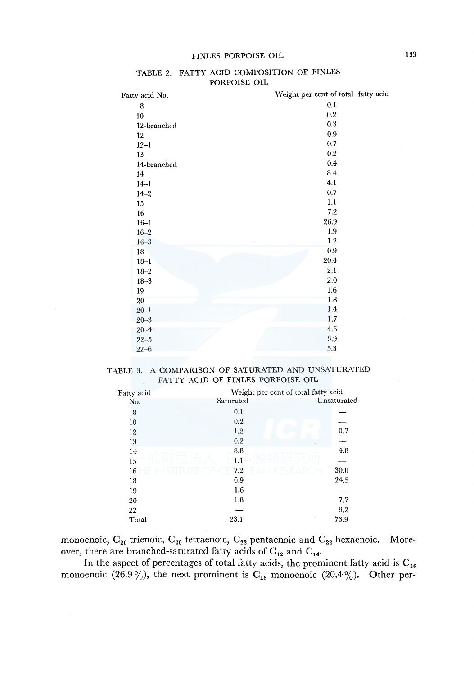| Fatty acid No. | Weight per cent of total fatty acid |
|----------------|-------------------------------------|
| 8              | 0.1                                 |
| 10             | 0.2                                 |
| 12-branched    | 0.3                                 |
| 12             | $\rm 0.9$                           |
| $12 - 1$       | 0.7                                 |
| 13             | 0.2                                 |
| 14-branched    | $0.4\,$                             |
| 14             | 8.4                                 |
| $14 - 1$       | 4.1                                 |
| $14 - 2$       | 0.7                                 |
| 15             | 1.1                                 |
| 16             | 7.2                                 |
| $16 - 1$       | 26.9                                |
| $16 - 2$       | 1.9                                 |
| $16 - 3$       | 1.2                                 |
| 18             | $\rm 0.9$                           |
| $18 - 1$       | 20.4                                |
| $18 - 2$       | 2.1                                 |
| $18 - 3$       | 2.0                                 |
| 19             | 1.6                                 |
| 20             | 1.8                                 |
| $20 - 1$       | 1.4                                 |
| $20 - 3$       | 1.7                                 |
| $20 - 4$       | 4.6                                 |
| $22 - 5$       | 3.9                                 |
| $22 - 6$       | 5.3                                 |

#### TABLE 2. FATTY ACID COMPOSITION OF FINLES PORPOISE OIL

# TABLE 3. A COMPARISON OF SATURATED AND UNSATURATED FATTY ACID OF FINLES PORPOISE OIL

| Fatty acid | Weight per cent of total fatty acid |                |
|------------|-------------------------------------|----------------|
| No.        | Saturated                           | Unsaturated    |
| 8          | 0.1                                 |                |
| 10         | 0.2                                 |                |
| 12         | 1.2                                 | 0.7            |
| 13         | 0.2                                 |                |
| 14         | 8.8                                 | 4.8            |
| 15         | 1.1                                 |                |
| 16         | 7.2                                 | 30.0<br>FSFARC |
| 18         | 0.9                                 | 24.5           |
| 19         | 1.6                                 |                |
| 20         | 1.8                                 | 7.7            |
| 22         |                                     | 9.2            |
| Total      | 23.1                                | 76.9           |
|            |                                     |                |

monoenoic,  $C_{20}$  trienoic,  $C_{20}$  tetraenoic,  $C_{22}$  pentaenoic and  $C_{22}$  hexaenoic. Moreover, there are branched-saturated fatty acids of  $C_{12}$  and  $C_{14}$ .

In the aspect of percentages of total fatty acids, the prominent fatty acid is  $\mathrm{C_{16}}$ monoenoic (26.9%), the next prominent is  $C_{18}$  monoenoic (20.4%). Other per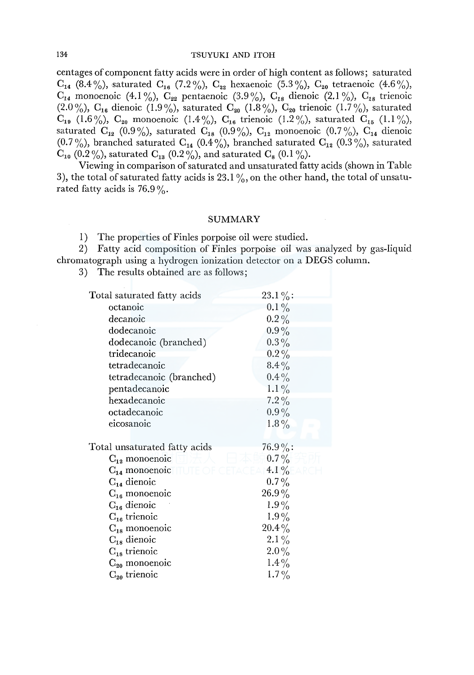centages of component fatty acids were in order of high content as follows; saturated  $C_{14}$  (8.4%), saturated  $C_{16}$  (7.2%),  $C_{22}$  hexaenoic (5.3%),  $C_{20}$  tetraenoic (4.6%),  $C_{14}$  monoenoic (4.1%),  $C_{22}$  pentaenoic (3.9%),  $C_{18}$  dienoic (2.1%),  $C_{18}$  trienoic (2.0%),  $C_{16}$  dienoic (1.9%), saturated  $C_{20}$  (1.8%),  $C_{20}$  trienoic (1.7%), saturated  $C_{19}$  (1.6%),  $C_{20}$  monoenoic (1.4%),  $C_{16}$  trienoic (1.2%), saturated  $C_{15}$  (1.1%), saturated  $C_{12}$  (0.9%), saturated  $C_{18}$  (0.9%),  $C_{12}$  monoenoic (0.7%),  $C_{14}$  dienoic (0.7%), branched saturated C<sub>14</sub> (0.4%), branched saturated C<sub>12</sub> (0.3%), saturated  $C_{10}$  (0.2%), saturated  $C_{13}$  (0.2%), and saturated  $C_8$  (0.1%).

Viewing in comparison of saturated and unsaturated fatty acids (shown in Table 3), the total of saturated fatty acids is 23.1%, on the other hand, the total of unsaturated fatty acids is  $76.9\%$ .

### SUMMARY

1) The properties of Finles porpoise oil were studied.

2) Fatty acid composition of Finles porpoise oil was analyzed by gas-liquid chromatograph using a hydrogen ionization detector on a DEGS column.

3) The results obtained are as follows;

| Total saturated fatty acids   | $23.1\%$   |
|-------------------------------|------------|
| octanoic                      | $0.1\%$    |
| decanoic                      | $0.2\%$    |
| dodecanoic                    | $0.9\%$    |
| dodecanoic (branched)         | $0.3\%$    |
| tridecanoic                   | $0.2\%$    |
| tetradecanoic                 | $8.4\%$    |
| tetradecanoic (branched)      | $0.4\%$    |
| pentadecanoic                 | $1.1\%$    |
| hexadecanoic                  | $7.2\%$    |
| octadecanoic                  | $0.9\%$    |
| eicosanoic                    | $1.8\%$    |
|                               |            |
| Total unsaturated fatty acids | $76.9\%$ : |
| $C_{12}$ monoenoic            | $0.7\%$    |
| $C_{14}$ monoenoic            | 4.1%       |
| $C_{14}$ dienoic              | $0.7\%$    |
| $C_{16}$ monoenoic            | $26.9\%$   |
| $C_{16}$ dienoic              | $1.9\%$    |
| $C_{16}$ trienoic             | $1.9\%$    |
| $C_{18}$ monoenoic            | $20.4\%$   |
| $C_{18}$ dienoic              | $2.1\%$    |
| $C_{18}$ trienoic             | $2.0\%$    |
| $C_{20}$ monoenoic            | $1.4\%$    |
| $C_{20}$ trienoic             | $1.7\%$    |